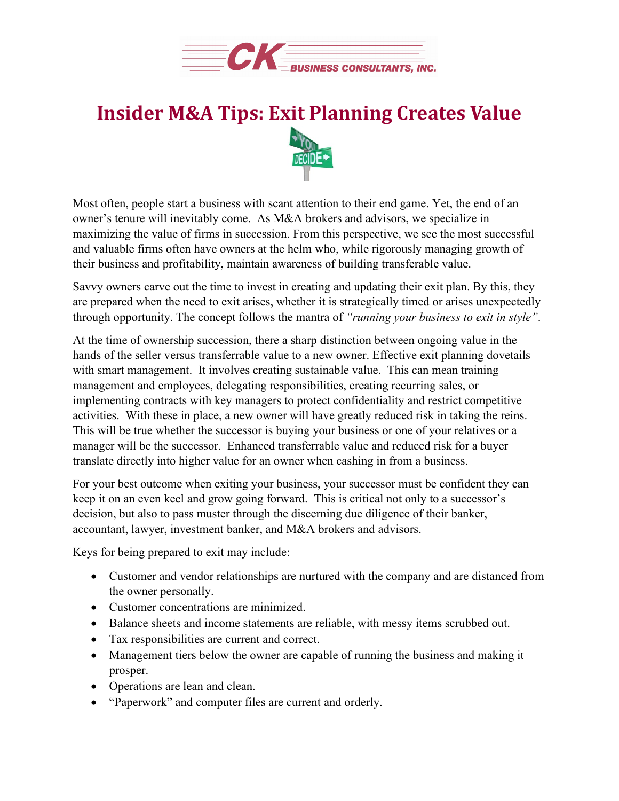

## **Insider M&A Tips: Exit Planning Creates Value**



Most often, people start a business with scant attention to their end game. Yet, the end of an owner's tenure will inevitably come. As M&A brokers and advisors, we specialize in maximizing the value of firms in succession. From this perspective, we see the most successful and valuable firms often have owners at the helm who, while rigorously managing growth of their business and profitability, maintain awareness of building transferable value.

Savvy owners carve out the time to invest in creating and updating their exit plan. By this, they are prepared when the need to exit arises, whether it is strategically timed or arises unexpectedly through opportunity. The concept follows the mantra of *"running your business to exit in style"*.

At the time of ownership succession, there a sharp distinction between ongoing value in the hands of the seller versus transferrable value to a new owner. Effective exit planning dovetails with smart management. It involves creating sustainable value. This can mean training management and employees, delegating responsibilities, creating recurring sales, or implementing contracts with key managers to protect confidentiality and restrict competitive activities. With these in place, a new owner will have greatly reduced risk in taking the reins. This will be true whether the successor is buying your business or one of your relatives or a manager will be the successor. Enhanced transferrable value and reduced risk for a buyer translate directly into higher value for an owner when cashing in from a business.

For your best outcome when exiting your business, your successor must be confident they can keep it on an even keel and grow going forward. This is critical not only to a successor's decision, but also to pass muster through the discerning due diligence of their banker, accountant, lawyer, investment banker, and M&A brokers and advisors.

Keys for being prepared to exit may include:

- Customer and vendor relationships are nurtured with the company and are distanced from the owner personally.
- Customer concentrations are minimized.
- Balance sheets and income statements are reliable, with messy items scrubbed out.
- Tax responsibilities are current and correct.
- Management tiers below the owner are capable of running the business and making it prosper.
- Operations are lean and clean.
- "Paperwork" and computer files are current and orderly.